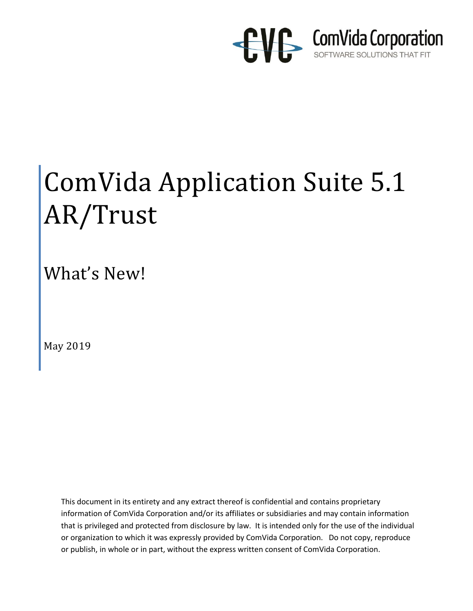

# ComVida Application Suite 5.1 AR/Trust

What's New!

May 2019

This document in its entirety and any extract thereof is confidential and contains proprietary information of ComVida Corporation and/or its affiliates or subsidiaries and may contain information that is privileged and protected from disclosure by law. It is intended only for the use of the individual or organization to which it was expressly provided by ComVida Corporation. Do not copy, reproduce or publish, in whole or in part, without the express written consent of ComVida Corporation.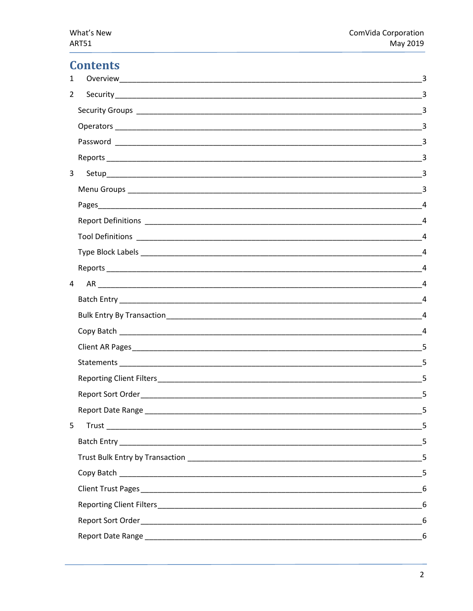May 2019

### **Contents**

| $\mathbf{1}$   |         | 3                                                                                                                                                                                                                                                                                                                                                                                                                               |
|----------------|---------|---------------------------------------------------------------------------------------------------------------------------------------------------------------------------------------------------------------------------------------------------------------------------------------------------------------------------------------------------------------------------------------------------------------------------------|
| $\overline{2}$ |         | $\overline{3}$                                                                                                                                                                                                                                                                                                                                                                                                                  |
|                |         | $\overline{3}$                                                                                                                                                                                                                                                                                                                                                                                                                  |
|                |         |                                                                                                                                                                                                                                                                                                                                                                                                                                 |
|                |         |                                                                                                                                                                                                                                                                                                                                                                                                                                 |
|                |         |                                                                                                                                                                                                                                                                                                                                                                                                                                 |
| 3              |         |                                                                                                                                                                                                                                                                                                                                                                                                                                 |
|                |         |                                                                                                                                                                                                                                                                                                                                                                                                                                 |
|                |         | $\overline{4}$                                                                                                                                                                                                                                                                                                                                                                                                                  |
|                |         | $\frac{1}{\sqrt{1-\frac{1}{2}}}\frac{4}{\sqrt{1-\frac{1}{2}}}\frac{4}{\sqrt{1-\frac{1}{2}}}\frac{4}{\sqrt{1-\frac{1}{2}}}\frac{4}{\sqrt{1-\frac{1}{2}}}\frac{4}{\sqrt{1-\frac{1}{2}}}\frac{4}{\sqrt{1-\frac{1}{2}}}\frac{4}{\sqrt{1-\frac{1}{2}}}\frac{4}{\sqrt{1-\frac{1}{2}}}\frac{4}{\sqrt{1-\frac{1}{2}}}\frac{4}{\sqrt{1-\frac{1}{2}}}\frac{4}{\sqrt{1-\frac{1}{2}}}\frac{4}{\sqrt{1-\frac{1}{2}}}\frac{4}{\sqrt{1-\frac{$ |
|                |         |                                                                                                                                                                                                                                                                                                                                                                                                                                 |
|                |         |                                                                                                                                                                                                                                                                                                                                                                                                                                 |
|                |         | $\overline{4}$                                                                                                                                                                                                                                                                                                                                                                                                                  |
| 4              | $AR$ 24 |                                                                                                                                                                                                                                                                                                                                                                                                                                 |
|                |         |                                                                                                                                                                                                                                                                                                                                                                                                                                 |
|                |         | $\overline{4}$                                                                                                                                                                                                                                                                                                                                                                                                                  |
|                |         |                                                                                                                                                                                                                                                                                                                                                                                                                                 |
|                |         |                                                                                                                                                                                                                                                                                                                                                                                                                                 |
|                |         | 5                                                                                                                                                                                                                                                                                                                                                                                                                               |
|                |         | 5                                                                                                                                                                                                                                                                                                                                                                                                                               |
|                |         | 5                                                                                                                                                                                                                                                                                                                                                                                                                               |
|                |         |                                                                                                                                                                                                                                                                                                                                                                                                                                 |
| 5              |         | 5                                                                                                                                                                                                                                                                                                                                                                                                                               |
|                |         | 5                                                                                                                                                                                                                                                                                                                                                                                                                               |
|                |         | 5                                                                                                                                                                                                                                                                                                                                                                                                                               |
|                |         | 5                                                                                                                                                                                                                                                                                                                                                                                                                               |
|                |         |                                                                                                                                                                                                                                                                                                                                                                                                                                 |
|                |         | 6                                                                                                                                                                                                                                                                                                                                                                                                                               |
|                |         | 6                                                                                                                                                                                                                                                                                                                                                                                                                               |
|                |         |                                                                                                                                                                                                                                                                                                                                                                                                                                 |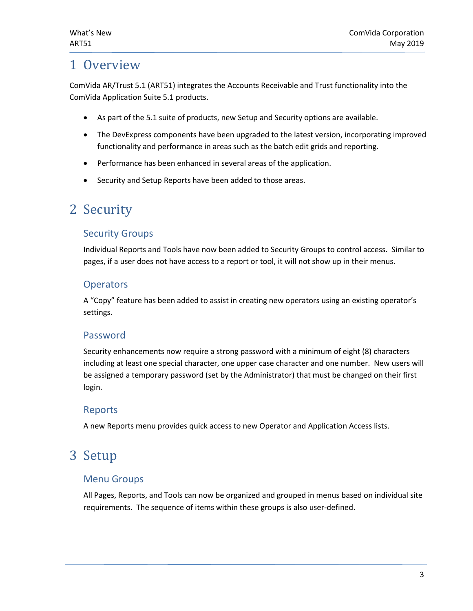# <span id="page-2-0"></span>1 Overview

ComVida AR/Trust 5.1 (ART51) integrates the Accounts Receivable and Trust functionality into the ComVida Application Suite 5.1 products.

- As part of the 5.1 suite of products, new Setup and Security options are available.
- The DevExpress components have been upgraded to the latest version, incorporating improved functionality and performance in areas such as the batch edit grids and reporting.
- Performance has been enhanced in several areas of the application.
- Security and Setup Reports have been added to those areas.

## <span id="page-2-1"></span>2 Security

#### <span id="page-2-2"></span>Security Groups

Individual Reports and Tools have now been added to Security Groups to control access. Similar to pages, if a user does not have access to a report or tool, it will not show up in their menus.

#### <span id="page-2-3"></span>**Operators**

A "Copy" feature has been added to assist in creating new operators using an existing operator's settings.

#### <span id="page-2-4"></span>Password

Security enhancements now require a strong password with a minimum of eight (8) characters including at least one special character, one upper case character and one number. New users will be assigned a temporary password (set by the Administrator) that must be changed on their first login.

#### <span id="page-2-5"></span>Reports

A new Reports menu provides quick access to new Operator and Application Access lists.

# <span id="page-2-6"></span>3 Setup

#### <span id="page-2-7"></span>Menu Groups

All Pages, Reports, and Tools can now be organized and grouped in menus based on individual site requirements. The sequence of items within these groups is also user-defined.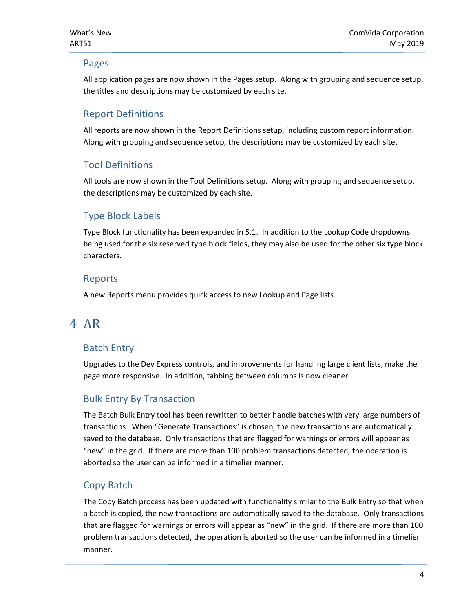#### <span id="page-3-0"></span>Pages

All application pages are now shown in the Pages setup. Along with grouping and sequence setup, the titles and descriptions may be customized by each site.

#### <span id="page-3-1"></span>Report Definitions

All reports are now shown in the Report Definitions setup, including custom report information. Along with grouping and sequence setup, the descriptions may be customized by each site.

#### <span id="page-3-2"></span>Tool Definitions

All tools are now shown in the Tool Definitions setup. Along with grouping and sequence setup, the descriptions may be customized by each site.

#### <span id="page-3-3"></span>Type Block Labels

Type Block functionality has been expanded in 5.1. In addition to the Lookup Code dropdowns being used for the six reserved type block fields, they may also be used for the other six type block characters.

#### <span id="page-3-4"></span>Reports

A new Reports menu provides quick access to new Lookup and Page lists.

# <span id="page-3-5"></span>4 AR

#### <span id="page-3-6"></span>Batch Entry

Upgrades to the Dev Express controls, and improvements for handling large client lists, make the page more responsive. In addition, tabbing between columns is now cleaner.

#### <span id="page-3-7"></span>Bulk Entry By Transaction

The Batch Bulk Entry tool has been rewritten to better handle batches with very large numbers of transactions. When "Generate Transactions" is chosen, the new transactions are automatically saved to the database. Only transactions that are flagged for warnings or errors will appear as "new" in the grid. If there are more than 100 problem transactions detected, the operation is aborted so the user can be informed in a timelier manner.

#### <span id="page-3-8"></span>Copy Batch

The Copy Batch process has been updated with functionality similar to the Bulk Entry so that when a batch is copied, the new transactions are automatically saved to the database. Only transactions that are flagged for warnings or errors will appear as "new" in the grid. If there are more than 100 problem transactions detected, the operation is aborted so the user can be informed in a timelier manner.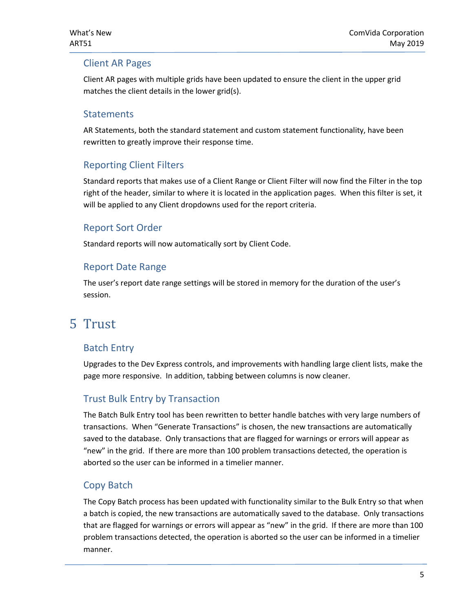#### <span id="page-4-0"></span>Client AR Pages

Client AR pages with multiple grids have been updated to ensure the client in the upper grid matches the client details in the lower grid(s).

#### <span id="page-4-1"></span>**Statements**

AR Statements, both the standard statement and custom statement functionality, have been rewritten to greatly improve their response time.

#### <span id="page-4-2"></span>Reporting Client Filters

Standard reports that makes use of a Client Range or Client Filter will now find the Filter in the top right of the header, similar to where it is located in the application pages. When this filter is set, it will be applied to any Client dropdowns used for the report criteria.

#### <span id="page-4-3"></span>Report Sort Order

Standard reports will now automatically sort by Client Code.

#### <span id="page-4-4"></span>Report Date Range

The user's report date range settings will be stored in memory for the duration of the user's session.

## <span id="page-4-5"></span>5 Trust

#### <span id="page-4-6"></span>Batch Entry

Upgrades to the Dev Express controls, and improvements with handling large client lists, make the page more responsive. In addition, tabbing between columns is now cleaner.

#### <span id="page-4-7"></span>Trust Bulk Entry by Transaction

The Batch Bulk Entry tool has been rewritten to better handle batches with very large numbers of transactions. When "Generate Transactions" is chosen, the new transactions are automatically saved to the database. Only transactions that are flagged for warnings or errors will appear as "new" in the grid. If there are more than 100 problem transactions detected, the operation is aborted so the user can be informed in a timelier manner.

#### <span id="page-4-8"></span>Copy Batch

The Copy Batch process has been updated with functionality similar to the Bulk Entry so that when a batch is copied, the new transactions are automatically saved to the database. Only transactions that are flagged for warnings or errors will appear as "new" in the grid. If there are more than 100 problem transactions detected, the operation is aborted so the user can be informed in a timelier manner.